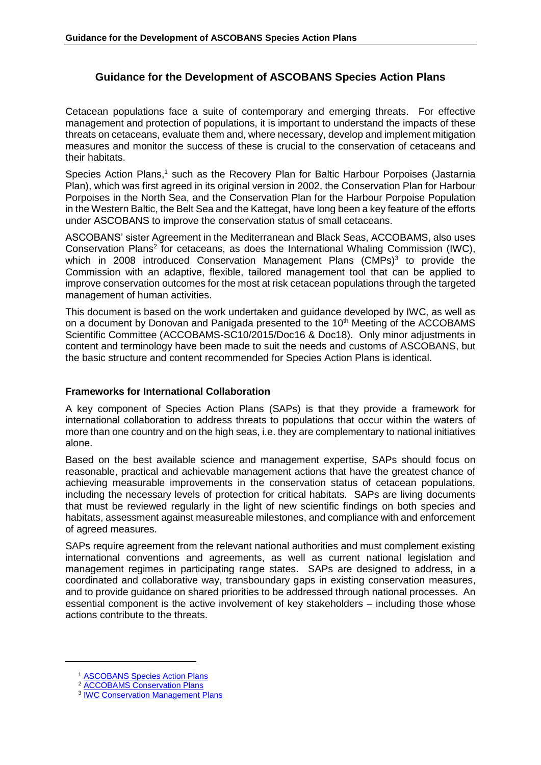# **Guidance for the Development of ASCOBANS Species Action Plans**

Cetacean populations face a suite of contemporary and emerging threats. For effective management and protection of populations, it is important to understand the impacts of these threats on cetaceans, evaluate them and, where necessary, develop and implement mitigation measures and monitor the success of these is crucial to the conservation of cetaceans and their habitats.

Species Action Plans,<sup>1</sup> such as the Recovery Plan for Baltic Harbour Porpoises (Jastarnia Plan), which was first agreed in its original version in 2002, the Conservation Plan for Harbour Porpoises in the North Sea, and the Conservation Plan for the Harbour Porpoise Population in the Western Baltic, the Belt Sea and the Kattegat, have long been a key feature of the efforts under ASCOBANS to improve the conservation status of small cetaceans.

ASCOBANS' sister Agreement in the Mediterranean and Black Seas, ACCOBAMS, also uses Conservation Plans<sup>2</sup> for cetaceans, as does the International Whaling Commission (IWC), which in 2008 introduced Conservation Management Plans (CMPs)<sup>3</sup> to provide the Commission with an adaptive, flexible, tailored management tool that can be applied to improve conservation outcomes for the most at risk cetacean populations through the targeted management of human activities.

This document is based on the work undertaken and guidance developed by IWC, as well as on a document by Donovan and Panigada presented to the 10<sup>th</sup> Meeting of the ACCOBAMS Scientific Committee (ACCOBAMS-SC10/2015/Doc16 & Doc18). Only minor adjustments in content and terminology have been made to suit the needs and customs of ASCOBANS, but the basic structure and content recommended for Species Action Plans is identical.

## **Frameworks for International Collaboration**

A key component of Species Action Plans (SAPs) is that they provide a framework for international collaboration to address threats to populations that occur within the waters of more than one country and on the high seas, i.e. they are complementary to national initiatives alone.

Based on the best available science and management expertise, SAPs should focus on reasonable, practical and achievable management actions that have the greatest chance of achieving measurable improvements in the conservation status of cetacean populations, including the necessary levels of protection for critical habitats. SAPs are living documents that must be reviewed regularly in the light of new scientific findings on both species and habitats, assessment against measureable milestones, and compliance with and enforcement of agreed measures.

SAPs require agreement from the relevant national authorities and must complement existing international conventions and agreements, as well as current national legislation and management regimes in participating range states. SAPs are designed to address, in a coordinated and collaborative way, transboundary gaps in existing conservation measures, and to provide guidance on shared priorities to be addressed through national processes. An essential component is the active involvement of key stakeholders – including those whose actions contribute to the threats.

-

<sup>1</sup> [ASCOBANS Species Action Plans](http://www.ascobans.org/en/documents/action-plans)

<sup>2</sup> [ACCOBAMS Conservation Plans](http://www.accobams.org/index.php?option=com_content&view=article&id=1136&Itemid=166)

<sup>&</sup>lt;sup>3</sup> **[IWC Conservation Management Plans](https://iwc.int/conservation-management-plans)**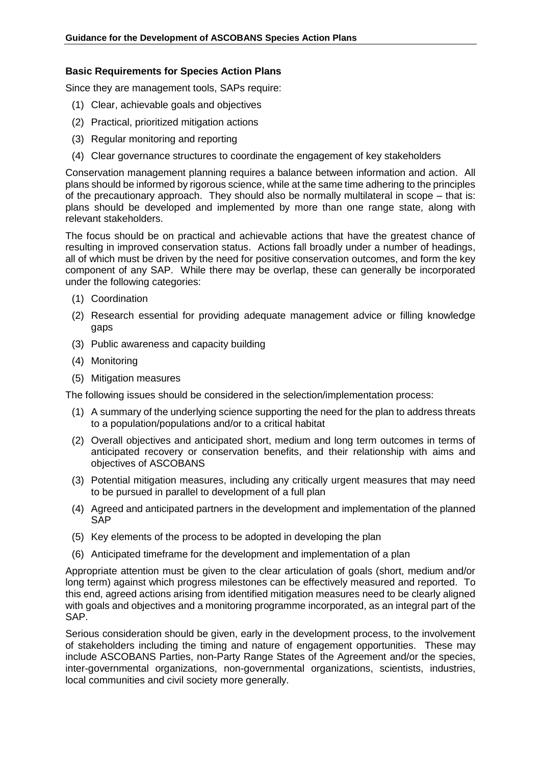## **Basic Requirements for Species Action Plans**

Since they are management tools, SAPs require:

- (1) Clear, achievable goals and objectives
- (2) Practical, prioritized mitigation actions
- (3) Regular monitoring and reporting
- (4) Clear governance structures to coordinate the engagement of key stakeholders

Conservation management planning requires a balance between information and action. All plans should be informed by rigorous science, while at the same time adhering to the principles of the precautionary approach. They should also be normally multilateral in scope – that is: plans should be developed and implemented by more than one range state, along with relevant stakeholders.

The focus should be on practical and achievable actions that have the greatest chance of resulting in improved conservation status. Actions fall broadly under a number of headings, all of which must be driven by the need for positive conservation outcomes, and form the key component of any SAP. While there may be overlap, these can generally be incorporated under the following categories:

- (1) Coordination
- (2) Research essential for providing adequate management advice or filling knowledge gaps
- (3) Public awareness and capacity building
- (4) Monitoring
- (5) Mitigation measures

The following issues should be considered in the selection/implementation process:

- (1) A summary of the underlying science supporting the need for the plan to address threats to a population/populations and/or to a critical habitat
- (2) Overall objectives and anticipated short, medium and long term outcomes in terms of anticipated recovery or conservation benefits, and their relationship with aims and objectives of ASCOBANS
- (3) Potential mitigation measures, including any critically urgent measures that may need to be pursued in parallel to development of a full plan
- (4) Agreed and anticipated partners in the development and implementation of the planned SAP
- (5) Key elements of the process to be adopted in developing the plan
- (6) Anticipated timeframe for the development and implementation of a plan

Appropriate attention must be given to the clear articulation of goals (short, medium and/or long term) against which progress milestones can be effectively measured and reported. To this end, agreed actions arising from identified mitigation measures need to be clearly aligned with goals and objectives and a monitoring programme incorporated, as an integral part of the SAP.

Serious consideration should be given, early in the development process, to the involvement of stakeholders including the timing and nature of engagement opportunities. These may include ASCOBANS Parties, non-Party Range States of the Agreement and/or the species, inter-governmental organizations, non-governmental organizations, scientists, industries, local communities and civil society more generally.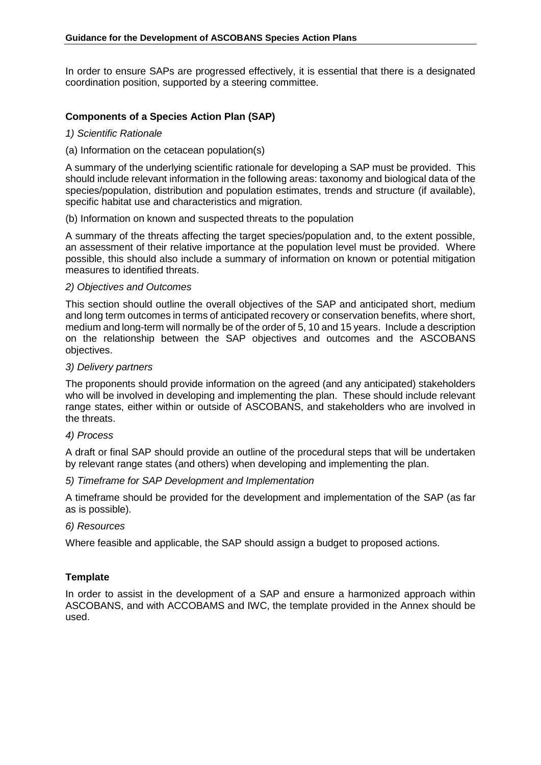In order to ensure SAPs are progressed effectively, it is essential that there is a designated coordination position, supported by a steering committee.

## **Components of a Species Action Plan (SAP)**

### *1) Scientific Rationale*

### (a) Information on the cetacean population(s)

A summary of the underlying scientific rationale for developing a SAP must be provided. This should include relevant information in the following areas: taxonomy and biological data of the species/population, distribution and population estimates, trends and structure (if available), specific habitat use and characteristics and migration.

## (b) Information on known and suspected threats to the population

A summary of the threats affecting the target species/population and, to the extent possible, an assessment of their relative importance at the population level must be provided. Where possible, this should also include a summary of information on known or potential mitigation measures to identified threats.

### *2) Objectives and Outcomes*

This section should outline the overall objectives of the SAP and anticipated short, medium and long term outcomes in terms of anticipated recovery or conservation benefits, where short, medium and long-term will normally be of the order of 5, 10 and 15 years. Include a description on the relationship between the SAP objectives and outcomes and the ASCOBANS objectives.

### *3) Delivery partners*

The proponents should provide information on the agreed (and any anticipated) stakeholders who will be involved in developing and implementing the plan. These should include relevant range states, either within or outside of ASCOBANS, and stakeholders who are involved in the threats.

## *4) Process*

A draft or final SAP should provide an outline of the procedural steps that will be undertaken by relevant range states (and others) when developing and implementing the plan.

## *5) Timeframe for SAP Development and Implementation*

A timeframe should be provided for the development and implementation of the SAP (as far as is possible).

## *6) Resources*

Where feasible and applicable, the SAP should assign a budget to proposed actions.

## **Template**

In order to assist in the development of a SAP and ensure a harmonized approach within ASCOBANS, and with ACCOBAMS and IWC, the template provided in the Annex should be used.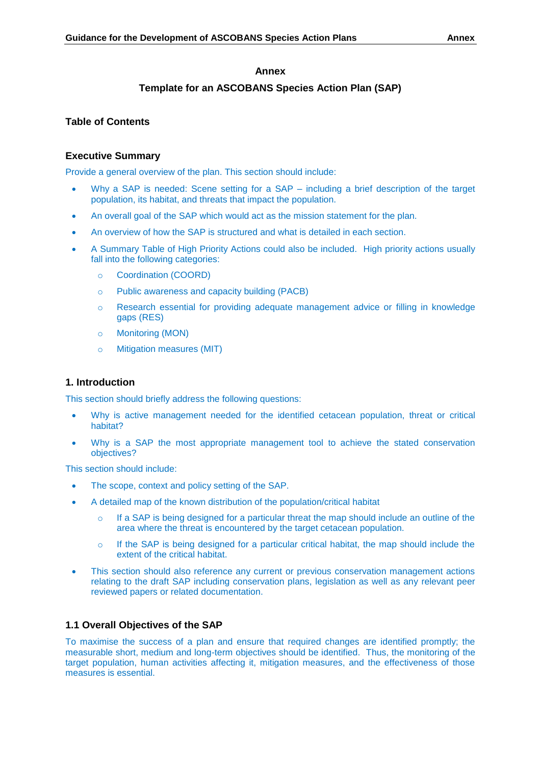## **Annex**

## **Template for an ASCOBANS Species Action Plan (SAP)**

## **Table of Contents**

## **Executive Summary**

Provide a general overview of the plan. This section should include:

- Why a SAP is needed: Scene setting for a SAP including a brief description of the target population, its habitat, and threats that impact the population.
- An overall goal of the SAP which would act as the mission statement for the plan.
- An overview of how the SAP is structured and what is detailed in each section.
- A Summary Table of High Priority Actions could also be included. High priority actions usually fall into the following categories:
	- o Coordination (COORD)
	- o Public awareness and capacity building (PACB)
	- o Research essential for providing adequate management advice or filling in knowledge gaps (RES)
	- o Monitoring (MON)
	- o Mitigation measures (MIT)

## **1. Introduction**

This section should briefly address the following questions:

- Why is active management needed for the identified cetacean population, threat or critical habitat?
- Why is a SAP the most appropriate management tool to achieve the stated conservation objectives?

This section should include:

- The scope, context and policy setting of the SAP.
- A detailed map of the known distribution of the population/critical habitat
	- $\circ$  If a SAP is being designed for a particular threat the map should include an outline of the area where the threat is encountered by the target cetacean population.
	- $\circ$  If the SAP is being designed for a particular critical habitat, the map should include the extent of the critical habitat.
- This section should also reference any current or previous conservation management actions relating to the draft SAP including conservation plans, legislation as well as any relevant peer reviewed papers or related documentation.

## **1.1 Overall Objectives of the SAP**

To maximise the success of a plan and ensure that required changes are identified promptly; the measurable short, medium and long-term objectives should be identified. Thus, the monitoring of the target population, human activities affecting it, mitigation measures, and the effectiveness of those measures is essential.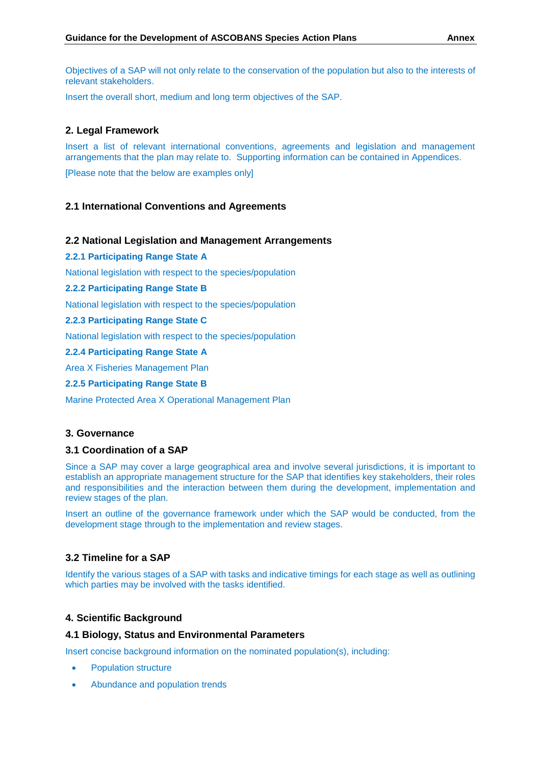Objectives of a SAP will not only relate to the conservation of the population but also to the interests of relevant stakeholders.

Insert the overall short, medium and long term objectives of the SAP.

## **2. Legal Framework**

Insert a list of relevant international conventions, agreements and legislation and management arrangements that the plan may relate to. Supporting information can be contained in Appendices.

[Please note that the below are examples only]

## **2.1 International Conventions and Agreements**

## **2.2 National Legislation and Management Arrangements**

**2.2.1 Participating Range State A**

National legislation with respect to the species/population

#### **2.2.2 Participating Range State B**

National legislation with respect to the species/population

#### **2.2.3 Participating Range State C**

National legislation with respect to the species/population

#### **2.2.4 Participating Range State A**

Area X Fisheries Management Plan

**2.2.5 Participating Range State B**

Marine Protected Area X Operational Management Plan

#### **3. Governance**

### **3.1 Coordination of a SAP**

Since a SAP may cover a large geographical area and involve several jurisdictions, it is important to establish an appropriate management structure for the SAP that identifies key stakeholders, their roles and responsibilities and the interaction between them during the development, implementation and review stages of the plan.

Insert an outline of the governance framework under which the SAP would be conducted, from the development stage through to the implementation and review stages.

## **3.2 Timeline for a SAP**

Identify the various stages of a SAP with tasks and indicative timings for each stage as well as outlining which parties may be involved with the tasks identified.

## **4. Scientific Background**

#### **4.1 Biology, Status and Environmental Parameters**

Insert concise background information on the nominated population(s), including:

- Population structure
- Abundance and population trends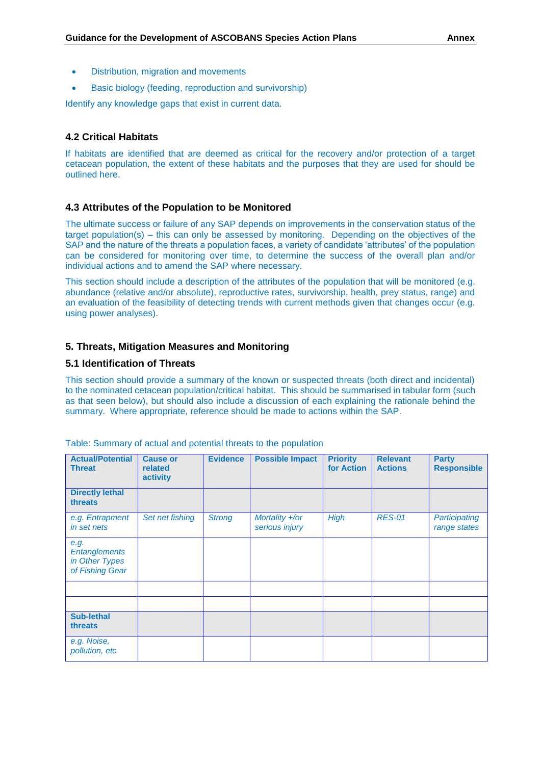- Distribution, migration and movements
- Basic biology (feeding, reproduction and survivorship)

Identify any knowledge gaps that exist in current data.

## **4.2 Critical Habitats**

If habitats are identified that are deemed as critical for the recovery and/or protection of a target cetacean population, the extent of these habitats and the purposes that they are used for should be outlined here.

#### **4.3 Attributes of the Population to be Monitored**

The ultimate success or failure of any SAP depends on improvements in the conservation status of the target population(s) – this can only be assessed by monitoring. Depending on the objectives of the SAP and the nature of the threats a population faces, a variety of candidate 'attributes' of the population can be considered for monitoring over time, to determine the success of the overall plan and/or individual actions and to amend the SAP where necessary.

This section should include a description of the attributes of the population that will be monitored (e.g. abundance (relative and/or absolute), reproductive rates, survivorship, health, prey status, range) and an evaluation of the feasibility of detecting trends with current methods given that changes occur (e.g. using power analyses).

### **5. Threats, Mitigation Measures and Monitoring**

### **5.1 Identification of Threats**

This section should provide a summary of the known or suspected threats (both direct and incidental) to the nominated cetacean population/critical habitat. This should be summarised in tabular form (such as that seen below), but should also include a discussion of each explaining the rationale behind the summary. Where appropriate, reference should be made to actions within the SAP.

| <b>Actual/Potential</b><br><b>Threat</b>                          | <b>Cause or</b><br>related<br>activity | <b>Evidence</b> | <b>Possible Impact</b>           | <b>Priority</b><br>for Action | <b>Relevant</b><br><b>Actions</b> | <b>Party</b><br><b>Responsible</b> |
|-------------------------------------------------------------------|----------------------------------------|-----------------|----------------------------------|-------------------------------|-----------------------------------|------------------------------------|
| <b>Directly lethal</b><br>threats                                 |                                        |                 |                                  |                               |                                   |                                    |
| e.g. Entrapment<br>in set nets                                    | Set net fishing                        | <b>Strong</b>   | Mortality +/or<br>serious injury | <b>High</b>                   | <b>RES-01</b>                     | Participating<br>range states      |
| e.g.<br><b>Entanglements</b><br>in Other Types<br>of Fishing Gear |                                        |                 |                                  |                               |                                   |                                    |
|                                                                   |                                        |                 |                                  |                               |                                   |                                    |
|                                                                   |                                        |                 |                                  |                               |                                   |                                    |
| <b>Sub-lethal</b><br>threats                                      |                                        |                 |                                  |                               |                                   |                                    |
| e.g. Noise,<br>pollution, etc                                     |                                        |                 |                                  |                               |                                   |                                    |

Table: Summary of actual and potential threats to the population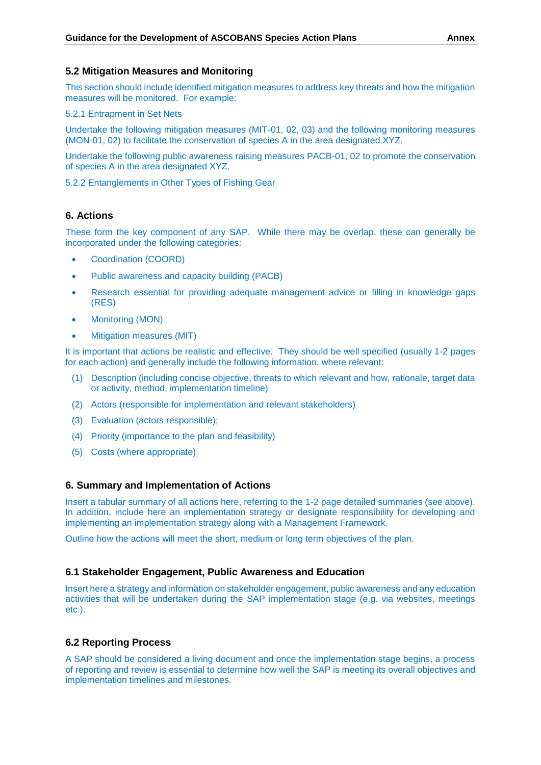#### **5.2 Mitigation Measures and Monitoring**

This section should include identified mitigation measures to address key threats and how the mitigation measures will be monitored. For example:

5.2.1 Entrapment in Set Nets

Undertake the following mitigation measures (MIT-01, 02, 03) and the following monitoring measures (MON-01, 02) to facilitate the conservation of species A in the area designated XYZ.

Undertake the following public awareness raising measures PACB-01, 02 to promote the conservation of species A in the area designated XYZ.

5.2.2 Entanglements in Other Types of Fishing Gear

## **6. Actions**

These form the key component of any SAP. While there may be overlap, these can generally be incorporated under the following categories:

- Coordination (COORD)
- Public awareness and capacity building (PACB)
- Research essential for providing adequate management advice or filling in knowledge gaps (RES)
- Monitoring (MON)
- Mitigation measures (MIT)

It is important that actions be realistic and effective. They should be well specified (usually 1-2 pages for each action) and generally include the following information, where relevant:

- (1) Description (including concise objective, threats to which relevant and how, rationale, target data or activity, method, implementation timeline)
- (2) Actors (responsible for implementation and relevant stakeholders)
- (3) Evaluation (actors responsible);
- (4) Priority (importance to the plan and feasibility)
- (5) Costs (where appropriate)

#### **6. Summary and Implementation of Actions**

Insert a tabular summary of all actions here, referring to the 1-2 page detailed summaries (see above). In addition, include here an implementation strategy or designate responsibility for developing and implementing an implementation strategy along with a Management Framework.

Outline how the actions will meet the short, medium or long term objectives of the plan.

### **6.1 Stakeholder Engagement, Public Awareness and Education**

Insert here a strategy and information on stakeholder engagement, public awareness and any education activities that will be undertaken during the SAP implementation stage (e.g. via websites, meetings etc.).

### **6.2 Reporting Process**

A SAP should be considered a living document and once the implementation stage begins, a process of reporting and review is essential to determine how well the SAP is meeting its overall objectives and implementation timelines and milestones.